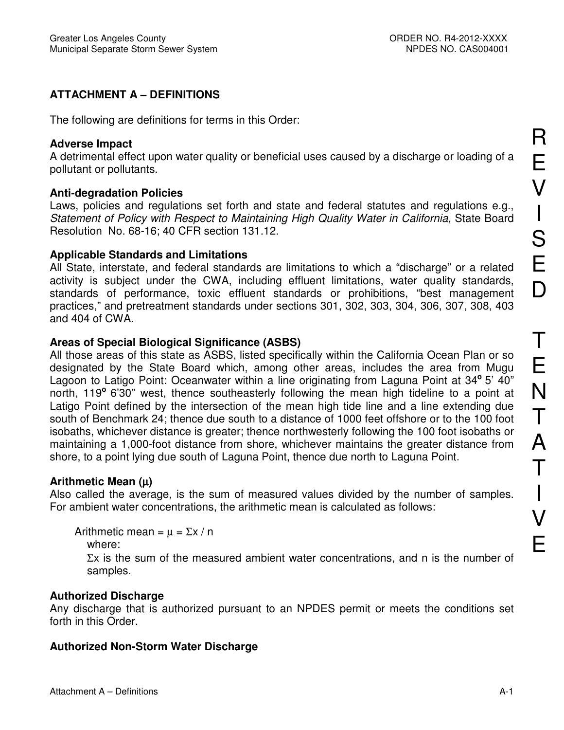# **ATTACHMENT A - DEFINITIONS**

The following are definitions for terms in this Order:

#### **Adverse Impact**

A detrimental effect upon water quality or beneficial uses caused by a discharge or loading of a pollutant or pollutants.

### **Anti-degradation Policies**

Laws, policies and regulations set forth and state and federal statutes and regulations e.g., Statement of Policy with Respect to Maintaining High Quality Water in California, State Board Resolution No. 68-16; 40 CFR section 131.12.

## **Applicable Standards and Limitations**

All State, interstate, and federal standards are limitations to which a "discharge" or a related activity is subject under the CWA, including effluent limitations, water quality standards, standards of performance, toxic effluent standards or prohibitions, "best management practices," and pretreatment standards under sections 301, 302, 303, 304, 306, 307, 308, 403 and 404 of CWA.

## Areas of Special Biological Significance (ASBS)

All those areas of this state as ASBS, listed specifically within the California Ocean Plan or so designated by the State Board which, among other areas, includes the area from Mugu Lagoon to Latigo Point: Oceanwater within a line originating from Laguna Point at 34° 5' 40" north, 119° 6'30" west, thence southeasterly following the mean high tideline to a point at Latigo Point defined by the intersection of the mean high tide line and a line extending due south of Benchmark 24; thence due south to a distance of 1000 feet offshore or to the 100 foot isobaths, whichever distance is greater; thence northwesterly following the 100 foot isobaths or maintaining a 1,000-foot distance from shore, whichever maintains the greater distance from shore, to a point lying due south of Laguna Point, thence due north to Laguna Point.

## Arithmetic Mean  $(\mu)$

Also called the average, is the sum of measured values divided by the number of samples. For ambient water concentrations, the arithmetic mean is calculated as follows:

Arithmetic mean =  $\mu$  =  $\Sigma x / n$ 

```
where:
```
 $\Sigma x$  is the sum of the measured ambient water concentrations, and n is the number of samples.

## **Authorized Discharge**

Any discharge that is authorized pursuant to an NPDES permit or meets the conditions set forth in this Order

# **Authorized Non-Storm Water Discharge**

R

 $\overline{\mathsf{V}}$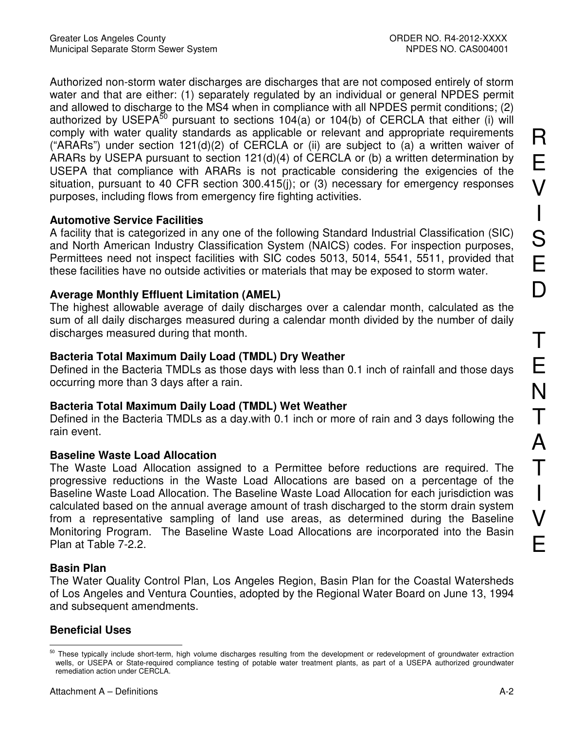Authorized non-storm water discharges are discharges that are not composed entirely of storm water and that are either: (1) separately regulated by an individual or general NPDES permit and allowed to discharge to the MS4 when in compliance with all NPDES permit conditions; (2) authorized by USEPA<sup>50</sup> pursuant to sections 104(a) or 104(b) of CERCLA that either (i) will comply with water quality standards as applicable or relevant and appropriate requirements ("ARARs") under section 121(d)(2) of CERCLA or (ii) are subject to (a) a written waiver of ARARs by USEPA pursuant to section 121(d)(4) of CERCLA or (b) a written determination by USEPA that compliance with ARARs is not practicable considering the exigencies of the situation, pursuant to 40 CFR section 300.415(j); or (3) necessary for emergency responses purposes, including flows from emergency fire fighting activities.

## **Automotive Service Facilities**

A facility that is categorized in any one of the following Standard Industrial Classification (SIC) and North American Industry Classification System (NAICS) codes. For inspection purposes, Permittees need not inspect facilities with SIC codes 5013, 5014, 5541, 5511, provided that these facilities have no outside activities or materials that may be exposed to storm water.

# **Average Monthly Effluent Limitation (AMEL)**

The highest allowable average of daily discharges over a calendar month, calculated as the sum of all daily discharges measured during a calendar month divided by the number of daily discharges measured during that month.

# Bacteria Total Maximum Daily Load (TMDL) Dry Weather

Defined in the Bacteria TMDLs as those days with less than 0.1 inch of rainfall and those days occurring more than 3 days after a rain.

# Bacteria Total Maximum Daily Load (TMDL) Wet Weather

Defined in the Bacteria TMDLs as a day with 0.1 inch or more of rain and 3 days following the rain event.

# **Baseline Waste Load Allocation**

The Waste Load Allocation assigned to a Permittee before reductions are required. The progressive reductions in the Waste Load Allocations are based on a percentage of the Baseline Waste Load Allocation. The Baseline Waste Load Allocation for each jurisdiction was calculated based on the annual average amount of trash discharged to the storm drain system from a representative sampling of land use areas, as determined during the Baseline Monitoring Program. The Baseline Waste Load Allocations are incorporated into the Basin Plan at Table 7-2.2.

# **Basin Plan**

The Water Quality Control Plan, Los Angeles Region, Basin Plan for the Coastal Watersheds of Los Angeles and Ventura Counties, adopted by the Regional Water Board on June 13, 1994 and subsequent amendments.

# **Beneficial Uses**

<sup>&</sup>lt;sup>50</sup> These typically include short-term, high volume discharges resulting from the development or redevelopment of groundwater extraction wells, or USEPA or State-required compliance testing of potable water treatment plants, as part of a USEPA authorized groundwater remediation action under CERCLA.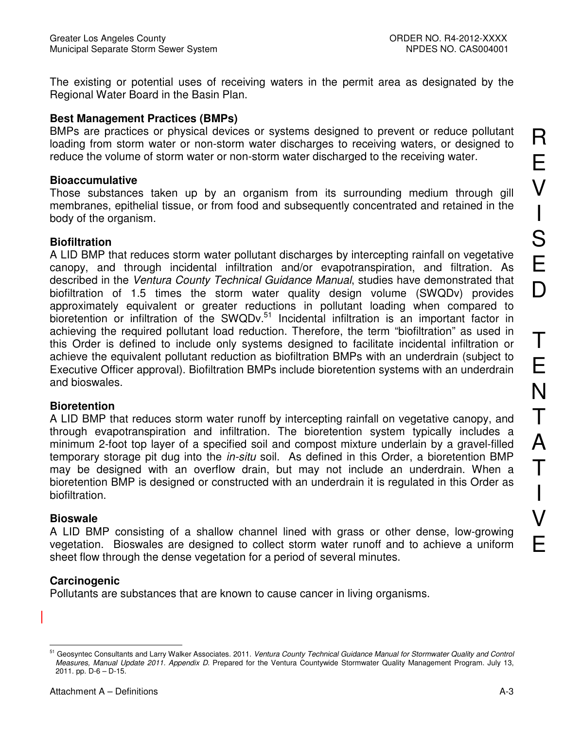The existing or potential uses of receiving waters in the permit area as designated by the Regional Water Board in the Basin Plan.

#### **Best Management Practices (BMPs)**

BMPs are practices or physical devices or systems designed to prevent or reduce pollutant loading from storm water or non-storm water discharges to receiving waters, or designed to reduce the volume of storm water or non-storm water discharged to the receiving water.

#### **Bioaccumulative**

Those substances taken up by an organism from its surrounding medium through gill membranes, epithelial tissue, or from food and subsequently concentrated and retained in the body of the organism.

#### **Biofiltration**

A LID BMP that reduces storm water pollutant discharges by intercepting rainfall on vegetative canopy, and through incidental infiltration and/or evapotranspiration, and filtration. As described in the Ventura County Technical Guidance Manual, studies have demonstrated that biofiltration of 1.5 times the storm water quality design volume (SWQDv) provides approximately equivalent or greater reductions in pollutant loading when compared to bioretention or infiltration of the SWQDv.<sup>51</sup> Incidental infiltration is an important factor in achieving the required pollutant load reduction. Therefore, the term "biofiltration" as used in this Order is defined to include only systems designed to facilitate incidental infiltration or achieve the equivalent pollutant reduction as biofiltration BMPs with an underdrain (subject to Executive Officer approval). Biofiltration BMPs include bioretention systems with an underdrain and bioswales

#### **Bioretention**

A LID BMP that reduces storm water runoff by intercepting rainfall on vegetative canopy, and through evapotranspiration and infiltration. The bioretention system typically includes a minimum 2-foot top layer of a specified soil and compost mixture underlain by a gravel-filled temporary storage pit dug into the *in-situ* soil. As defined in this Order, a bioretention BMP may be designed with an overflow drain, but may not include an underdrain. When a bioretention BMP is designed or constructed with an underdrain it is regulated in this Order as biofiltration.

#### **Bioswale**

A LID BMP consisting of a shallow channel lined with grass or other dense, low-growing vegetation. Bioswales are designed to collect storm water runoff and to achieve a uniform sheet flow through the dense vegetation for a period of several minutes.

## Carcinogenic

Pollutants are substances that are known to cause cancer in living organisms.

<sup>51</sup> Geosyntec Consultants and Larry Walker Associates. 2011. Ventura County Technical Guidance Manual for Stormwater Quality and Control Measures, Manual Update 2011. Appendix D. Prepared for the Ventura Countywide Stormwater Quality Management Program. July 13, 2011. pp.  $D-6 - D-15$ .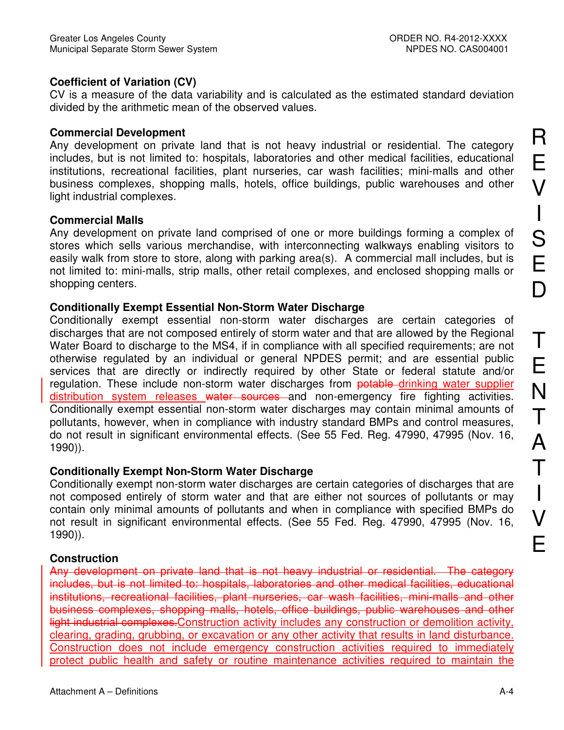## **Coefficient of Variation (CV)**

CV is a measure of the data variability and is calculated as the estimated standard deviation divided by the arithmetic mean of the observed values.

## **Commercial Development**

Any development on private land that is not heavy industrial or residential. The category includes, but is not limited to: hospitals, laboratories and other medical facilities, educational institutions, recreational facilities, plant nurseries, car wash facilities; mini-malls and other business complexes, shopping malls, hotels, office buildings, public warehouses and other light industrial complexes.

## **Commercial Malls**

Any development on private land comprised of one or more buildings forming a complex of stores which sells various merchandise, with interconnecting walkways enabling visitors to easily walk from store to store, along with parking area(s). A commercial mall includes, but is not limited to: mini-malls, strip malls, other retail complexes, and enclosed shopping malls or shopping centers.

# **Conditionally Exempt Essential Non-Storm Water Discharge**

Conditionally exempt essential non-storm water discharges are certain categories of discharges that are not composed entirely of storm water and that are allowed by the Regional Water Board to discharge to the MS4, if in compliance with all specified requirements; are not otherwise regulated by an individual or general NPDES permit; and are essential public services that are directly or indirectly required by other State or federal statute and/or regulation. These include non-storm water discharges from potable drinking water supplier distribution system releases water sources and non-emergency fire fighting activities. Conditionally exempt essential non-storm water discharges may contain minimal amounts of pollutants, however, when in compliance with industry standard BMPs and control measures, do not result in significant environmental effects. (See 55 Fed. Reg. 47990, 47995 (Nov. 16,  $1990$ )).

# **Conditionally Exempt Non-Storm Water Discharge**

Conditionally exempt non-storm water discharges are certain categories of discharges that are not composed entirely of storm water and that are either not sources of pollutants or may contain only minimal amounts of pollutants and when in compliance with specified BMPs do not result in significant environmental effects. (See 55 Fed. Reg. 47990, 47995 (Nov. 16,  $1990)$ ).

# **Construction**

Any development on private land that is not heavy industrial or residential. The category includes, but is not limited to: hospitals, laboratories and other medical facilities, educational institutions, recreational facilities, plant nurseries, car wash facilities, mini-malls and other business complexes, shopping malls, hotels, office buildings, public warehouses and other light industrial complexes. Construction activity includes any construction or demolition activity, clearing, grading, grubbing, or excavation or any other activity that results in land disturbance. Construction does not include emergency construction activities required to immediately protect public health and safety or routine maintenance activities required to maintain the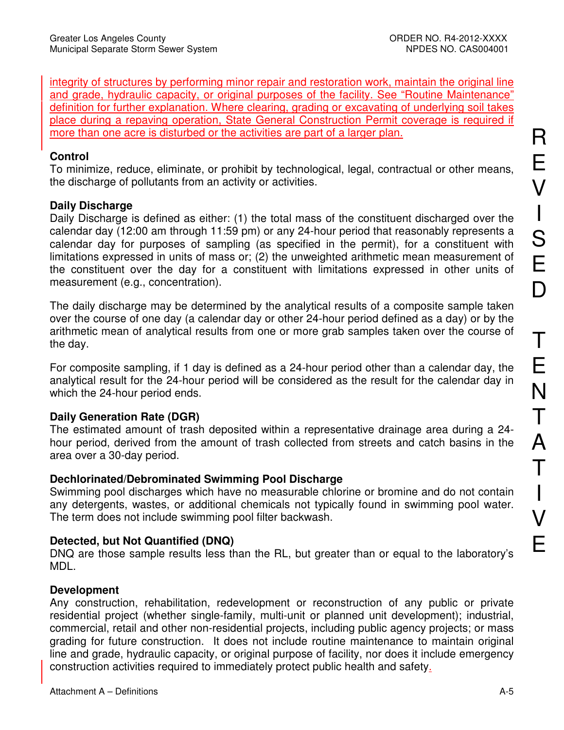integrity of structures by performing minor repair and restoration work, maintain the original line and grade, hydraulic capacity, or original purposes of the facility. See "Routine Maintenance" definition for further explanation. Where clearing, grading or excavating of underlying soil takes place during a repaving operation, State General Construction Permit coverage is required if more than one acre is disturbed or the activities are part of a larger plan.

### Control

To minimize, reduce, eliminate, or prohibit by technological, legal, contractual or other means, the discharge of pollutants from an activity or activities.

## **Daily Discharge**

Daily Discharge is defined as either: (1) the total mass of the constituent discharged over the calendar day (12:00 am through 11:59 pm) or any 24-hour period that reasonably represents a calendar day for purposes of sampling (as specified in the permit), for a constituent with limitations expressed in units of mass or; (2) the unweighted arithmetic mean measurement of the constituent over the day for a constituent with limitations expressed in other units of measurement (e.g., concentration).

The daily discharge may be determined by the analytical results of a composite sample taken over the course of one day (a calendar day or other 24-hour period defined as a day) or by the arithmetic mean of analytical results from one or more grab samples taken over the course of the day.

For composite sampling, if 1 day is defined as a 24-hour period other than a calendar day, the analytical result for the 24-hour period will be considered as the result for the calendar day in which the 24-hour period ends.

## **Daily Generation Rate (DGR)**

The estimated amount of trash deposited within a representative drainage area during a 24hour period, derived from the amount of trash collected from streets and catch basins in the area over a 30-day period.

#### **Dechlorinated/Debrominated Swimming Pool Discharge**

Swimming pool discharges which have no measurable chlorine or bromine and do not contain any detergents, wastes, or additional chemicals not typically found in swimming pool water. The term does not include swimming pool filter backwash.

## Detected, but Not Quantified (DNQ)

DNQ are those sample results less than the RL, but greater than or equal to the laboratory's MDL.

## **Development**

Any construction, rehabilitation, redevelopment or reconstruction of any public or private residential project (whether single-family, multi-unit or planned unit development); industrial, commercial, retail and other non-residential projects, including public agency projects; or mass grading for future construction. It does not include routine maintenance to maintain original line and grade, hydraulic capacity, or original purpose of facility, nor does it include emergency construction activities required to immediately protect public health and safety.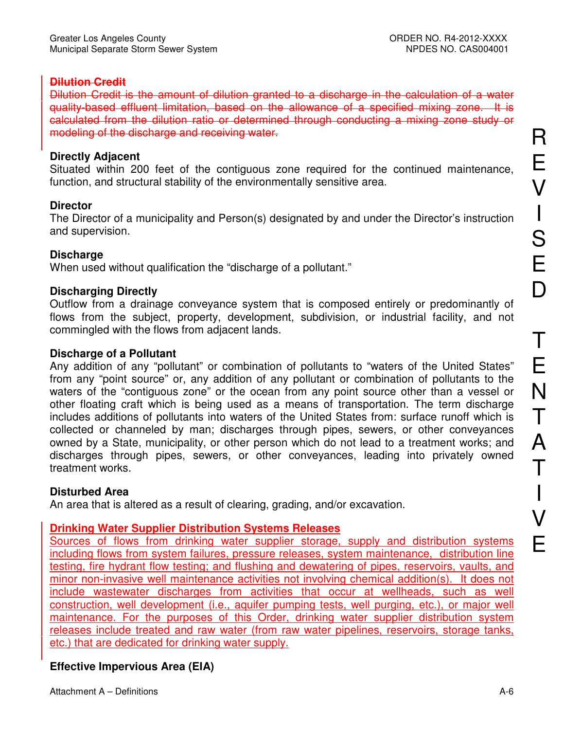## **Dilution Credit**

Dilution Credit is the amount of dilution granted to a discharge in the calculation of a water quality-based effluent limitation, based on the allowance of a specified mixing zone. It is calculated from the dilution ratio or determined through conducting a mixing zone study or modeling of the discharge and receiving water.

### **Directly Adjacent**

Situated within 200 feet of the contiguous zone required for the continued maintenance. function, and structural stability of the environmentally sensitive area.

## **Director**

The Director of a municipality and Person(s) designated by and under the Director's instruction and supervision.

## **Discharge**

When used without qualification the "discharge of a pollutant."

### **Discharging Directly**

Outflow from a drainage conveyance system that is composed entirely or predominantly of flows from the subject, property, development, subdivision, or industrial facility, and not commingled with the flows from adiacent lands.

### **Discharge of a Pollutant**

Any addition of any "pollutant" or combination of pollutants to "waters of the United States" from any "point source" or, any addition of any pollutant or combination of pollutants to the waters of the "contiguous zone" or the ocean from any point source other than a vessel or other floating craft which is being used as a means of transportation. The term discharge includes additions of pollutants into waters of the United States from: surface runoff which is collected or channeled by man; discharges through pipes, sewers, or other conveyances owned by a State, municipality, or other person which do not lead to a treatment works; and discharges through pipes, sewers, or other conveyances, leading into privately owned treatment works.

## **Disturbed Area**

An area that is altered as a result of clearing, grading, and/or excavation.

#### **Drinking Water Supplier Distribution Systems Releases**

Sources of flows from drinking water supplier storage, supply and distribution systems including flows from system failures, pressure releases, system maintenance, distribution line testing, fire hydrant flow testing; and flushing and dewatering of pipes, reservoirs, vaults, and minor non-invasive well maintenance activities not involving chemical addition(s). It does not include wastewater discharges from activities that occur at wellheads, such as well construction, well development (i.e., aquifer pumping tests, well purging, etc.), or major well maintenance. For the purposes of this Order, drinking water supplier distribution system releases include treated and raw water (from raw water pipelines, reservoirs, storage tanks, etc.) that are dedicated for drinking water supply.

## **Effective Impervious Area (EIA)**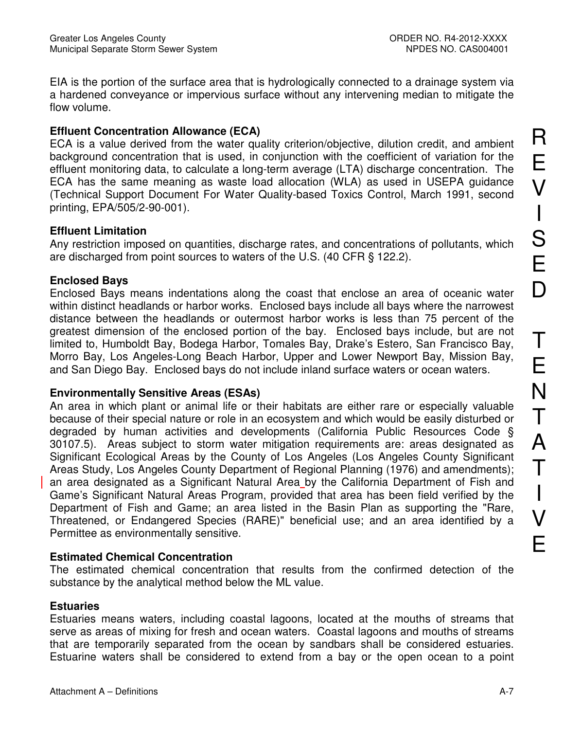EIA is the portion of the surface area that is hydrologically connected to a drainage system via a hardened conveyance or impervious surface without any intervening median to mitigate the flow volume.

## **Effluent Concentration Allowance (ECA)**

ECA is a value derived from the water quality criterion/objective, dilution credit, and ambient background concentration that is used, in conjunction with the coefficient of variation for the effluent monitoring data, to calculate a long-term average (LTA) discharge concentration. The ECA has the same meaning as waste load allocation (WLA) as used in USEPA guidance (Technical Support Document For Water Quality-based Toxics Control, March 1991, second printing, EPA/505/2-90-001).

### **Effluent Limitation**

Any restriction imposed on quantities, discharge rates, and concentrations of pollutants, which are discharged from point sources to waters of the U.S. (40 CFR § 122.2).

## **Enclosed Bays**

Enclosed Bays means indentations along the coast that enclose an area of oceanic water within distinct headlands or harbor works. Enclosed bays include all bays where the narrowest distance between the headlands or outermost harbor works is less than 75 percent of the greatest dimension of the enclosed portion of the bay. Enclosed bays include, but are not limited to, Humboldt Bay, Bodega Harbor, Tomales Bay, Drake's Estero, San Francisco Bay, Morro Bay, Los Angeles-Long Beach Harbor, Upper and Lower Newport Bay, Mission Bay, and San Diego Bay. Enclosed bays do not include inland surface waters or ocean waters.

## **Environmentally Sensitive Areas (ESAs)**

An area in which plant or animal life or their habitats are either rare or especially valuable because of their special nature or role in an ecosystem and which would be easily disturbed or degraded by human activities and developments (California Public Resources Code § 30107.5). Areas subject to storm water mitigation requirements are: areas designated as Significant Ecological Areas by the County of Los Angeles (Los Angeles County Significant Areas Study, Los Angeles County Department of Regional Planning (1976) and amendments); an area designated as a Significant Natural Area by the California Department of Fish and Game's Significant Natural Areas Program, provided that area has been field verified by the Department of Fish and Game; an area listed in the Basin Plan as supporting the "Rare, Threatened, or Endangered Species (RARE)" beneficial use; and an area identified by a Permittee as environmentally sensitive.

## **Estimated Chemical Concentration**

The estimated chemical concentration that results from the confirmed detection of the substance by the analytical method below the ML value.

## **Estuaries**

Estuaries means waters, including coastal lagoons, located at the mouths of streams that serve as areas of mixing for fresh and ocean waters. Coastal lagoons and mouths of streams that are temporarily separated from the ocean by sandbars shall be considered estuaries. Estuarine waters shall be considered to extend from a bay or the open ocean to a point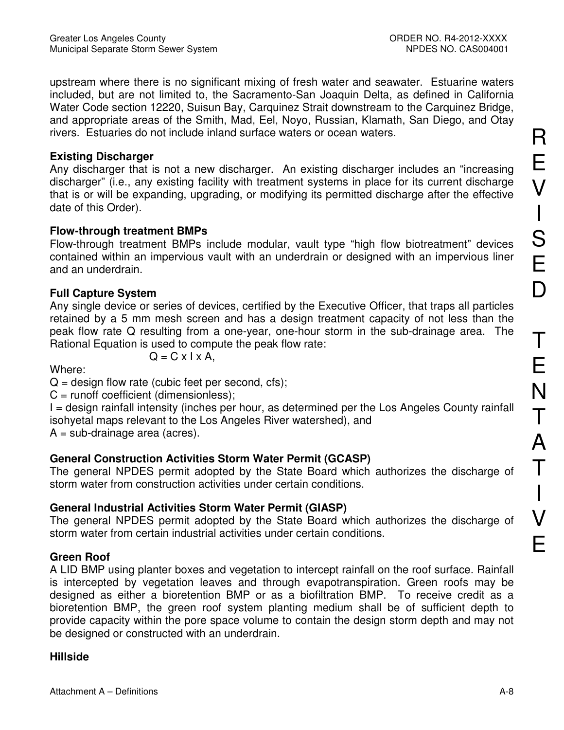upstream where there is no significant mixing of fresh water and seawater. Estuarine waters included, but are not limited to, the Sacramento-San Joaquin Delta, as defined in California Water Code section 12220, Suisun Bay, Carguinez Strait downstream to the Carguinez Bridge, and appropriate areas of the Smith, Mad, Eel, Noyo, Russian, Klamath, San Diego, and Otay rivers. Estuaries do not include inland surface waters or ocean waters.

## **Existing Discharger**

Any discharger that is not a new discharger. An existing discharger includes an "increasing discharger" (i.e., any existing facility with treatment systems in place for its current discharge that is or will be expanding, upgrading, or modifying its permitted discharge after the effective date of this Order).

## **Flow-through treatment BMPs**

Flow-through treatment BMPs include modular, vault type "high flow biotreatment" devices contained within an impervious vault with an underdrain or designed with an impervious liner and an underdrain.

## **Full Capture System**

Any single device or series of devices, certified by the Executive Officer, that traps all particles retained by a 5 mm mesh screen and has a design treatment capacity of not less than the peak flow rate Q resulting from a one-year, one-hour storm in the sub-drainage area. The Rational Equation is used to compute the peak flow rate:

Where:

$$
Q = C \times I \times A,
$$

 $Q =$  design flow rate (cubic feet per second, cfs);

 $C =$  runoff coefficient (dimensionless);

I = design rainfall intensity (inches per hour, as determined per the Los Angeles County rainfall isohyetal maps relevant to the Los Angeles River watershed), and

 $A = sub-drainage area (acres).$ 

# **General Construction Activities Storm Water Permit (GCASP)**

The general NPDES permit adopted by the State Board which authorizes the discharge of storm water from construction activities under certain conditions.

# **General Industrial Activities Storm Water Permit (GIASP)**

The general NPDES permit adopted by the State Board which authorizes the discharge of storm water from certain industrial activities under certain conditions.

# **Green Roof**

A LID BMP using planter boxes and vegetation to intercept rainfall on the roof surface. Rainfall is intercepted by vegetation leaves and through evapotranspiration. Green roofs may be designed as either a bioretention BMP or as a biofiltration BMP. To receive credit as a bioretention BMP, the green roof system planting medium shall be of sufficient depth to provide capacity within the pore space volume to contain the design storm depth and may not be designed or constructed with an underdrain.

## **Hillside**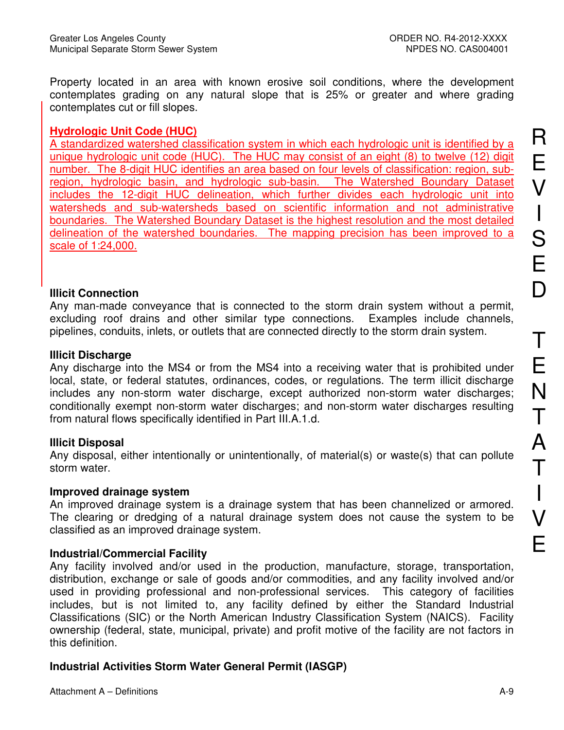Property located in an area with known erosive soil conditions, where the development contemplates grading on any natural slope that is 25% or greater and where grading contemplates cut or fill slopes.

## **Hydrologic Unit Code (HUC)**

A standardized watershed classification system in which each hydrologic unit is identified by a unique hydrologic unit code (HUC). The HUC may consist of an eight (8) to twelve (12) digit number. The 8-digit HUC identifies an area based on four levels of classification: region, subregion, hydrologic basin, and hydrologic sub-basin. The Watershed Boundary Dataset includes the 12-digit HUC delineation, which further divides each hydrologic unit into watersheds and sub-watersheds based on scientific information and not administrative boundaries. The Watershed Boundary Dataset is the highest resolution and the most detailed delineation of the watershed boundaries. The mapping precision has been improved to a scale of 1:24,000.

## **Illicit Connection**

Any man-made conveyance that is connected to the storm drain system without a permit, excluding roof drains and other similar type connections. Examples include channels, pipelines, conduits, inlets, or outlets that are connected directly to the storm drain system.

## **Illicit Discharge**

Any discharge into the MS4 or from the MS4 into a receiving water that is prohibited under local, state, or federal statutes, ordinances, codes, or regulations. The term illicit discharge includes any non-storm water discharge, except authorized non-storm water discharges; conditionally exempt non-storm water discharges; and non-storm water discharges resulting from natural flows specifically identified in Part III.A.1.d.

## **Illicit Disposal**

Any disposal, either intentionally or unintentionally, of material(s) or waste(s) that can pollute storm water.

## Improved drainage system

An improved drainage system is a drainage system that has been channelized or armored. The clearing or dredging of a natural drainage system does not cause the system to be classified as an improved drainage system.

# **Industrial/Commercial Facility**

Any facility involved and/or used in the production, manufacture, storage, transportation, distribution, exchange or sale of goods and/or commodities, and any facility involved and/or used in providing professional and non-professional services. This category of facilities includes, but is not limited to, any facility defined by either the Standard Industrial Classifications (SIC) or the North American Industry Classification System (NAICS). Facility ownership (federal, state, municipal, private) and profit motive of the facility are not factors in this definition.

# Industrial Activities Storm Water General Permit (IASGP)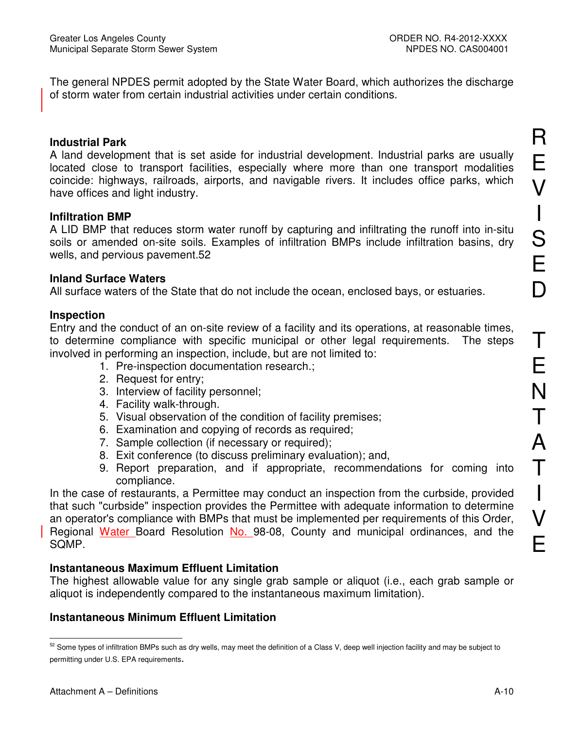The general NPDES permit adopted by the State Water Board, which authorizes the discharge of storm water from certain industrial activities under certain conditions.

#### **Industrial Park**

A land development that is set aside for industrial development. Industrial parks are usually located close to transport facilities, especially where more than one transport modalities coincide: highways, railroads, airports, and navigable rivers. It includes office parks, which have offices and light industry.

### **Infiltration BMP**

A LID BMP that reduces storm water runoff by capturing and infiltrating the runoff into in-situ soils or amended on-site soils. Examples of infiltration BMPs include infiltration basins, dry wells, and pervious pavement.52

#### **Inland Surface Waters**

All surface waters of the State that do not include the ocean, enclosed bays, or estuaries.

### **Inspection**

Entry and the conduct of an on-site review of a facility and its operations, at reasonable times, to determine compliance with specific municipal or other legal requirements. The steps involved in performing an inspection, include, but are not limited to:

- 1. Pre-inspection documentation research.;
- 2. Request for entry;
- 3. Interview of facility personnel;
- 4. Facility walk-through.
- 5. Visual observation of the condition of facility premises;
- 6. Examination and copying of records as required;
- 7. Sample collection (if necessary or required);
- 8. Exit conference (to discuss preliminary evaluation); and,
- 9. Report preparation, and if appropriate, recommendations for coming into compliance.

In the case of restaurants, a Permittee may conduct an inspection from the curbside, provided that such "curbside" inspection provides the Permittee with adequate information to determine an operator's compliance with BMPs that must be implemented per requirements of this Order, Regional Water Board Resolution No. 98-08, County and municipal ordinances, and the SOMP.

## **Instantaneous Maximum Effluent Limitation**

The highest allowable value for any single grab sample or aliquot (i.e., each grab sample or aliquot is independently compared to the instantaneous maximum limitation).

## **Instantaneous Minimum Effluent Limitation**

<sup>52</sup> Some types of infiltration BMPs such as dry wells, may meet the definition of a Class V, deep well injection facility and may be subject to permitting under U.S. EPA requirements.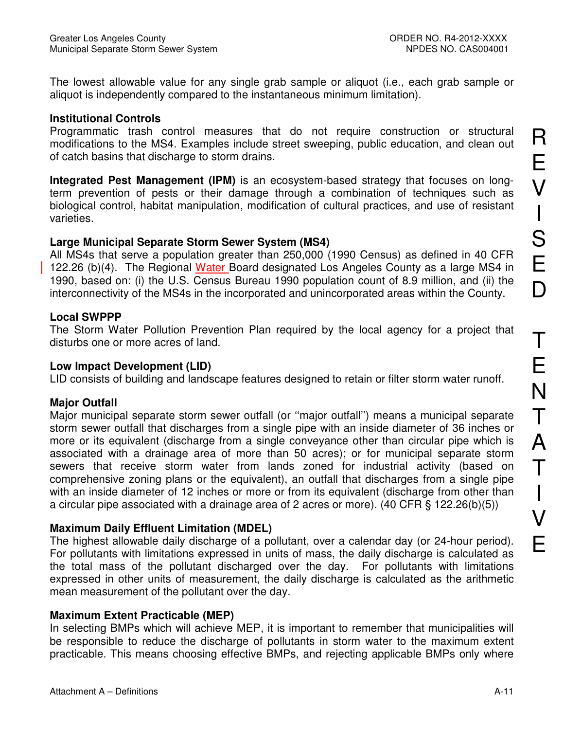The lowest allowable value for any single grab sample or aliquot (i.e., each grab sample or aliquot is independently compared to the instantaneous minimum limitation).

#### **Institutional Controls**

Programmatic trash control measures that do not require construction or structural modifications to the MS4. Examples include street sweeping, public education, and clean out of catch basins that discharge to storm drains.

Integrated Pest Management (IPM) is an ecosystem-based strategy that focuses on longterm prevention of pests or their damage through a combination of techniques such as biological control, habitat manipulation, modification of cultural practices, and use of resistant varieties.

#### Large Municipal Separate Storm Sewer System (MS4)

All MS4s that serve a population greater than 250,000 (1990 Census) as defined in 40 CFR 122.26 (b)(4). The Regional Water Board designated Los Angeles County as a large MS4 in 1990, based on: (i) the U.S. Census Bureau 1990 population count of 8.9 million, and (ii) the interconnectivity of the MS4s in the incorporated and unincorporated areas within the County.

#### **Local SWPPP**

The Storm Water Pollution Prevention Plan required by the local agency for a project that disturbs one or more acres of land.

#### **Low Impact Development (LID)**

LID consists of building and landscape features designed to retain or filter storm water runoff.

#### **Maior Outfall**

Major municipal separate storm sewer outfall (or "major outfall") means a municipal separate storm sewer outfall that discharges from a single pipe with an inside diameter of 36 inches or more or its equivalent (discharge from a single conveyance other than circular pipe which is associated with a drainage area of more than 50 acres); or for municipal separate storm sewers that receive storm water from lands zoned for industrial activity (based on comprehensive zoning plans or the equivalent), an outfall that discharges from a single pipe with an inside diameter of 12 inches or more or from its equivalent (discharge from other than a circular pipe associated with a drainage area of 2 acres or more). (40 CFR  $\S$  122.26(b)(5))

#### **Maximum Daily Effluent Limitation (MDEL)**

The highest allowable daily discharge of a pollutant, over a calendar day (or 24-hour period). For pollutants with limitations expressed in units of mass, the daily discharge is calculated as the total mass of the pollutant discharged over the day. For pollutants with limitations expressed in other units of measurement, the daily discharge is calculated as the arithmetic mean measurement of the pollutant over the day.

#### **Maximum Extent Practicable (MEP)**

In selecting BMPs which will achieve MEP, it is important to remember that municipalities will be responsible to reduce the discharge of pollutants in storm water to the maximum extent practicable. This means choosing effective BMPs, and rejecting applicable BMPs only where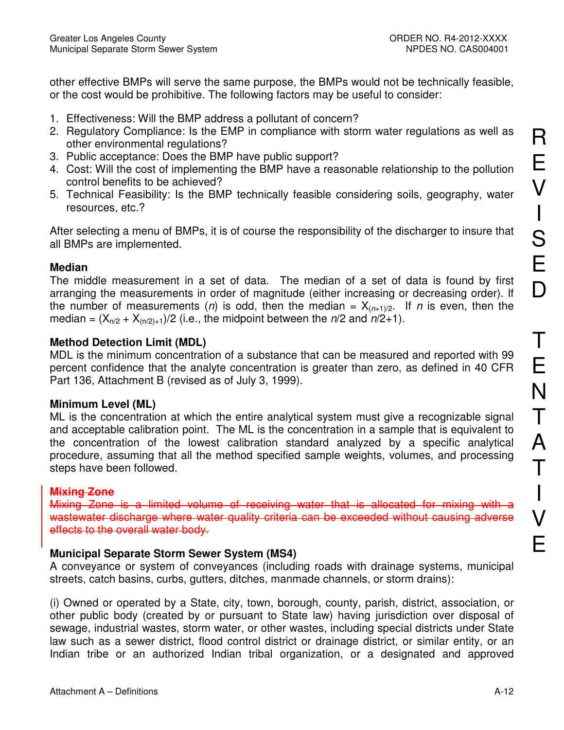other effective BMPs will serve the same purpose, the BMPs would not be technically feasible. or the cost would be prohibitive. The following factors may be useful to consider:

- 1. Effectiveness: Will the BMP address a pollutant of concern?
- 2. Regulatory Compliance: Is the EMP in compliance with storm water regulations as well as other environmental regulations?
- 3. Public acceptance: Does the BMP have public support?
- 4. Cost: Will the cost of implementing the BMP have a reasonable relationship to the pollution control benefits to be achieved?
- 5. Technical Feasibility: Is the BMP technically feasible considering soils, geography, water resources, etc.?

After selecting a menu of BMPs, it is of course the responsibility of the discharger to insure that all BMPs are implemented.

## **Median**

The middle measurement in a set of data. The median of a set of data is found by first arranging the measurements in order of magnitude (either increasing or decreasing order). If the number of measurements (n) is odd, then the median =  $X_{(n+1)/2}$ . If n is even, then the median =  $(X_{n/2} + X_{(n/2)+1})/2$  (i.e., the midpoint between the  $n/2$  and  $n/2+1$ ).

## **Method Detection Limit (MDL)**

MDL is the minimum concentration of a substance that can be measured and reported with 99 percent confidence that the analyte concentration is greater than zero, as defined in 40 CFR Part 136, Attachment B (revised as of July 3, 1999).

## Minimum Level (ML)

ML is the concentration at which the entire analytical system must give a recognizable signal and acceptable calibration point. The ML is the concentration in a sample that is equivalent to the concentration of the lowest calibration standard analyzed by a specific analytical procedure, assuming that all the method specified sample weights, volumes, and processing steps have been followed.

# **Mixing Zone**

Mixing Zone is a limited volume of receiving water that is allocated for mixing with a wastewater discharge where water quality criteria can be exceeded without causing adverse effects to the overall water body.

# **Municipal Separate Storm Sewer System (MS4)**

A conveyance or system of conveyances (including roads with drainage systems, municipal streets, catch basins, curbs, qutters, ditches, manmade channels, or storm drains):

(i) Owned or operated by a State, city, town, borough, county, parish, district, association, or other public body (created by or pursuant to State law) having jurisdiction over disposal of sewage, industrial wastes, storm water, or other wastes, including special districts under State law such as a sewer district, flood control district or drainage district, or similar entity, or an Indian tribe or an authorized Indian tribal organization, or a designated and approved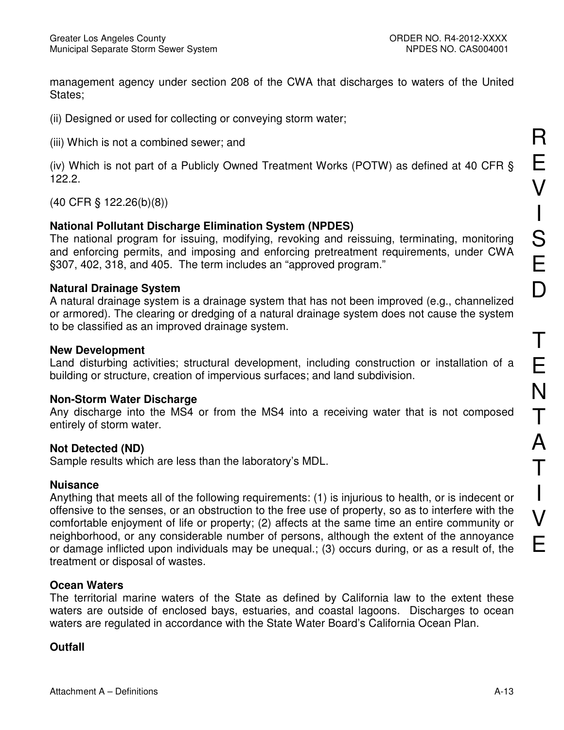management agency under section 208 of the CWA that discharges to waters of the United States:

(ii) Designed or used for collecting or conveying storm water;

(iii) Which is not a combined sewer; and

(iv) Which is not part of a Publicly Owned Treatment Works (POTW) as defined at 40 CFR §  $122.2.$ 

 $(40$  CFR § 122.26(b)(8))

## **National Pollutant Discharge Elimination System (NPDES)**

The national program for issuing, modifying, revoking and reissuing, terminating, monitoring and enforcing permits, and imposing and enforcing pretreatment requirements, under CWA §307, 402, 318, and 405. The term includes an "approved program."

## **Natural Drainage System**

A natural drainage system is a drainage system that has not been improved (e.g., channelized or armored). The clearing or dredging of a natural drainage system does not cause the system to be classified as an improved drainage system.

### **New Development**

Land disturbing activities; structural development, including construction or installation of a building or structure, creation of impervious surfaces; and land subdivision.

## **Non-Storm Water Discharge**

Any discharge into the MS4 or from the MS4 into a receiving water that is not composed entirely of storm water.

## **Not Detected (ND)**

Sample results which are less than the laboratory's MDL.

## **Nuisance**

Anything that meets all of the following requirements: (1) is injurious to health, or is indecent or offensive to the senses, or an obstruction to the free use of property, so as to interfere with the comfortable enjoyment of life or property; (2) affects at the same time an entire community or neighborhood, or any considerable number of persons, although the extent of the annoyance or damage inflicted upon individuals may be unequal.; (3) occurs during, or as a result of, the treatment or disposal of wastes.

## **Ocean Waters**

The territorial marine waters of the State as defined by California law to the extent these waters are outside of enclosed bays, estuaries, and coastal lagoons. Discharges to ocean waters are regulated in accordance with the State Water Board's California Ocean Plan.

# **Outfall**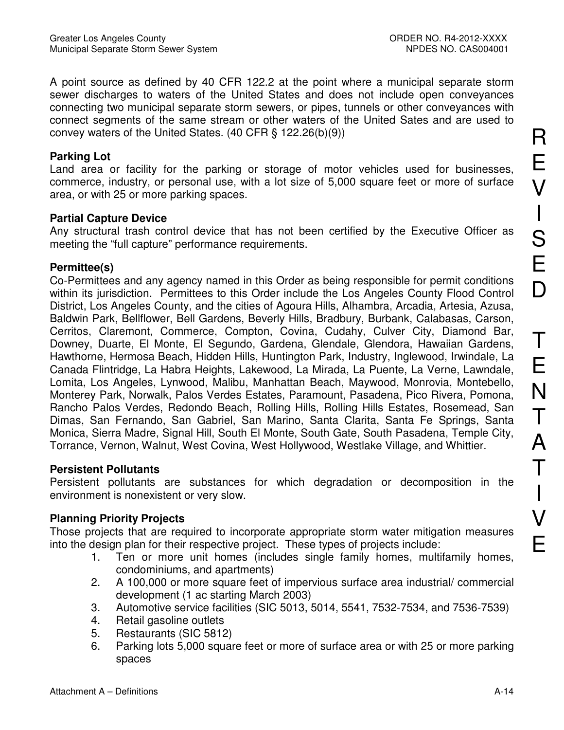A point source as defined by 40 CFR 122.2 at the point where a municipal separate storm sewer discharges to waters of the United States and does not include open conveyances connecting two municipal separate storm sewers, or pipes, tunnels or other conveyances with connect segments of the same stream or other waters of the United Sates and are used to convey waters of the United States.  $(40 \text{ CFR} \text{S} 122.26(b)(9))$ 

#### **Parking Lot**

Land area or facility for the parking or storage of motor vehicles used for businesses. commerce, industry, or personal use, with a lot size of 5,000 square feet or more of surface area, or with 25 or more parking spaces.

## **Partial Capture Device**

Any structural trash control device that has not been certified by the Executive Officer as meeting the "full capture" performance requirements.

### Permittee(s)

Co-Permittees and any agency named in this Order as being responsible for permit conditions within its jurisdiction. Permittees to this Order include the Los Angeles County Flood Control District, Los Angeles County, and the cities of Agoura Hills, Alhambra, Arcadia, Artesia, Azusa, Baldwin Park, Bellflower, Bell Gardens, Beverly Hills, Bradbury, Burbank, Calabasas, Carson, Cerritos, Claremont, Commerce, Compton, Covina, Cudahy, Culver City, Diamond Bar, Downey, Duarte, El Monte, El Segundo, Gardena, Glendale, Glendora, Hawaiian Gardens, Hawthorne, Hermosa Beach, Hidden Hills, Huntington Park, Industry, Inglewood, Irwindale, La Canada Flintridge, La Habra Heights, Lakewood, La Mirada, La Puente, La Verne, Lawndale, Lomita, Los Angeles, Lynwood, Malibu, Manhattan Beach, Maywood, Monrovia, Montebello, Monterey Park, Norwalk, Palos Verdes Estates, Paramount, Pasadena, Pico Rivera, Pomona, Rancho Palos Verdes, Redondo Beach, Rolling Hills, Rolling Hills Estates, Rosemead, San Dimas, San Fernando, San Gabriel, San Marino, Santa Clarita, Santa Fe Springs, Santa Monica, Sierra Madre, Signal Hill, South El Monte, South Gate, South Pasadena, Temple City, Torrance, Vernon, Walnut, West Covina, West Hollywood, Westlake Village, and Whittier.

#### **Persistent Pollutants**

Persistent pollutants are substances for which degradation or decomposition in the environment is nonexistent or very slow.

## **Planning Priority Projects**

Those projects that are required to incorporate appropriate storm water mitigation measures into the design plan for their respective project. These types of projects include:

- Ten or more unit homes (includes single family homes, multifamily homes,  $1.$ condominiums, and apartments)
- $2.$ A 100,000 or more square feet of impervious surface area industrial/commercial development (1 ac starting March 2003)
- $3<sub>1</sub>$ Automotive service facilities (SIC 5013, 5014, 5541, 7532-7534, and 7536-7539)
- Retail gasoline outlets  $4_{\cdot}$
- Restaurants (SIC 5812)  $5.$
- Parking lots 5,000 square feet or more of surface area or with 25 or more parking 6. spaces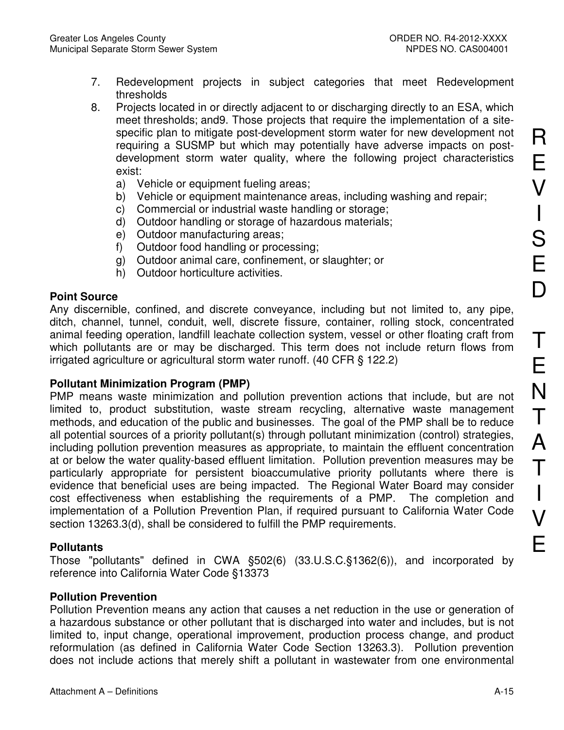- $7.$ Redevelopment projects in subject categories that meet Redevelopment thresholds
- 8. Projects located in or directly adjacent to or discharging directly to an ESA, which meet thresholds; and 9. Those projects that require the implementation of a sitespecific plan to mitigate post-development storm water for new development not requiring a SUSMP but which may potentially have adverse impacts on postdevelopment storm water quality, where the following project characteristics exist:
	- Vehicle or equipment fueling areas; a)
	- Vehicle or equipment maintenance areas, including washing and repair; b)
	- Commercial or industrial waste handling or storage;  $\mathsf{C}$
	- Outdoor handling or storage of hazardous materials;  $\mathsf{d}$
	- e) Outdoor manufacturing areas;
	- Outdoor food handling or processing; f)
	- g) Outdoor animal care, confinement, or slaughter; or
	- h) Outdoor horticulture activities.

## **Point Source**

Any discernible, confined, and discrete conveyance, including but not limited to, any pipe, ditch, channel, tunnel, conduit, well, discrete fissure, container, rolling stock, concentrated animal feeding operation, landfill leachate collection system, vessel or other floating craft from which pollutants are or may be discharged. This term does not include return flows from irrigated agriculture or agricultural storm water runoff. (40 CFR § 122.2)

## **Pollutant Minimization Program (PMP)**

PMP means waste minimization and pollution prevention actions that include, but are not limited to, product substitution, waste stream recycling, alternative waste management methods, and education of the public and businesses. The goal of the PMP shall be to reduce all potential sources of a priority pollutant(s) through pollutant minimization (control) strategies, including pollution prevention measures as appropriate, to maintain the effluent concentration at or below the water quality-based effluent limitation. Pollution prevention measures may be particularly appropriate for persistent bioaccumulative priority pollutants where there is evidence that beneficial uses are being impacted. The Regional Water Board may consider cost effectiveness when establishing the requirements of a PMP. The completion and implementation of a Pollution Prevention Plan, if required pursuant to California Water Code section 13263.3(d), shall be considered to fulfill the PMP requirements.

## **Pollutants**

Those "pollutants" defined in CWA §502(6) (33.U.S.C.§1362(6)), and incorporated by reference into California Water Code §13373

## **Pollution Prevention**

Pollution Prevention means any action that causes a net reduction in the use or generation of a hazardous substance or other pollutant that is discharged into water and includes, but is not limited to, input change, operational improvement, production process change, and product reformulation (as defined in California Water Code Section 13263.3). Pollution prevention does not include actions that merely shift a pollutant in wastewater from one environmental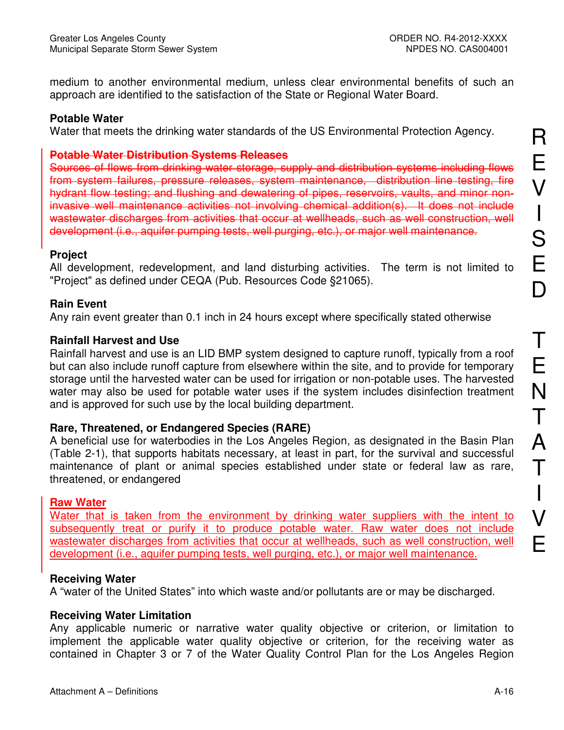medium to another environmental medium, unless clear environmental benefits of such an approach are identified to the satisfaction of the State or Regional Water Board.

#### **Potable Water**

Water that meets the drinking water standards of the US Environmental Protection Agency.

#### **Potable Water Distribution Systems Releases**

Sources of flows from drinking water storage, supply and distribution systems including flows from system failures, pressure releases, system maintenance, distribution line testing, fire hydrant flow testing; and flushing and dewatering of pipes, reservoirs, vaults, and minor noninvasive well maintenance activities not involving chemical addition(s). It does not include wastewater discharges from activities that occur at wellheads, such as well construction, well development (i.e., aquifer pumping tests, well purging, etc.), or major well maintenance.

#### **Project**

All development, redevelopment, and land disturbing activities. The term is not limited to "Project" as defined under CEQA (Pub. Resources Code §21065).

#### **Rain Event**

Any rain event greater than 0.1 inch in 24 hours except where specifically stated otherwise

#### **Rainfall Harvest and Use**

Rainfall harvest and use is an LID BMP system designed to capture runoff, typically from a roof but can also include runoff capture from elsewhere within the site, and to provide for temporary storage until the harvested water can be used for irrigation or non-potable uses. The harvested water may also be used for potable water uses if the system includes disinfection treatment and is approved for such use by the local building department.

#### Rare, Threatened, or Endangered Species (RARE)

A beneficial use for waterbodies in the Los Angeles Region, as designated in the Basin Plan (Table 2-1), that supports habitats necessary, at least in part, for the survival and successful maintenance of plant or animal species established under state or federal law as rare, threatened, or endangered

#### **Raw Water**

Water that is taken from the environment by drinking water suppliers with the intent to subsequently treat or purify it to produce potable water. Raw water does not include wastewater discharges from activities that occur at wellheads, such as well construction, well development (i.e., aquifer pumping tests, well purging, etc.), or major well maintenance.

#### **Receiving Water**

A "water of the United States" into which waste and/or pollutants are or may be discharged.

#### **Receiving Water Limitation**

Any applicable numeric or narrative water quality objective or criterion, or limitation to implement the applicable water quality objective or criterion, for the receiving water as contained in Chapter 3 or 7 of the Water Quality Control Plan for the Los Angeles Region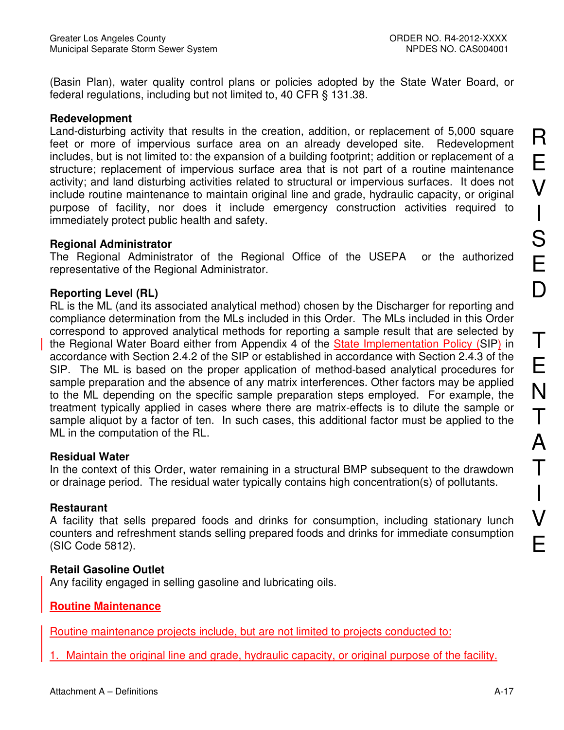(Basin Plan), water quality control plans or policies adopted by the State Water Board, or federal regulations, including but not limited to, 40 CFR § 131.38.

#### **Redevelopment**

Land-disturbing activity that results in the creation, addition, or replacement of 5,000 square feet or more of impervious surface area on an already developed site. Redevelopment includes, but is not limited to: the expansion of a building footprint; addition or replacement of a structure; replacement of impervious surface area that is not part of a routine maintenance activity; and land disturbing activities related to structural or impervious surfaces. It does not include routine maintenance to maintain original line and grade, hydraulic capacity, or original purpose of facility, nor does it include emergency construction activities required to immediately protect public health and safety.

### **Regional Administrator**

The Regional Administrator of the Regional Office of the USEPA or the authorized representative of the Regional Administrator.

## **Reporting Level (RL)**

RL is the ML (and its associated analytical method) chosen by the Discharger for reporting and compliance determination from the MLs included in this Order. The MLs included in this Order correspond to approved analytical methods for reporting a sample result that are selected by the Regional Water Board either from Appendix 4 of the State Implementation Policy (SIP) in accordance with Section 2.4.2 of the SIP or established in accordance with Section 2.4.3 of the SIP. The ML is based on the proper application of method-based analytical procedures for sample preparation and the absence of any matrix interferences. Other factors may be applied to the ML depending on the specific sample preparation steps employed. For example, the treatment typically applied in cases where there are matrix-effects is to dilute the sample or sample aliquot by a factor of ten. In such cases, this additional factor must be applied to the ML in the computation of the RL.

## **Residual Water**

In the context of this Order, water remaining in a structural BMP subsequent to the drawdown or drainage period. The residual water typically contains high concentration(s) of pollutants.

## **Restaurant**

A facility that sells prepared foods and drinks for consumption, including stationary lunch counters and refreshment stands selling prepared foods and drinks for immediate consumption (SIC Code 5812).

## **Retail Gasoline Outlet**

Any facility engaged in selling gasoline and lubricating oils.

# **Routine Maintenance**

Routine maintenance projects include, but are not limited to projects conducted to:

1. Maintain the original line and grade, hydraulic capacity, or original purpose of the facility.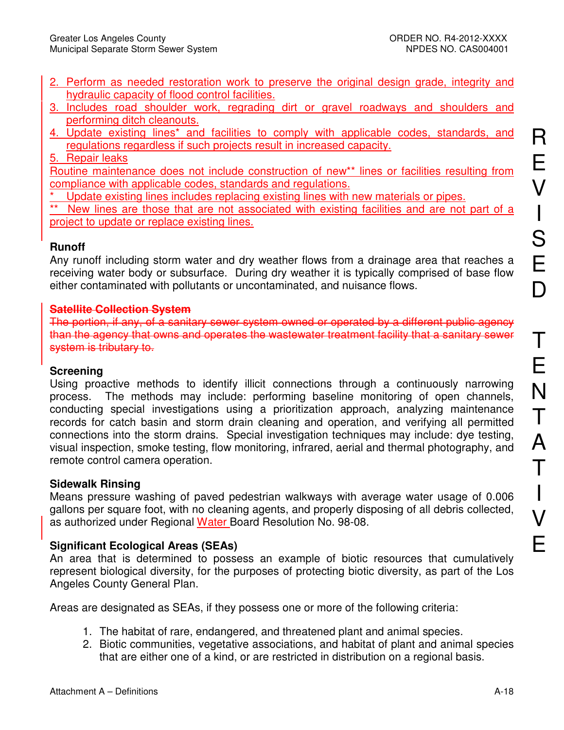- 2. Perform as needed restoration work to preserve the original design grade, integrity and hydraulic capacity of flood control facilities.
- 3. Includes road shoulder work, regrading dirt or gravel roadways and shoulders and performing ditch cleanouts.
- 4. Update existing lines\* and facilities to comply with applicable codes, standards, and regulations regardless if such projects result in increased capacity.
- 5. Repair leaks

Routine maintenance does not include construction of new\*\* lines or facilities resulting from compliance with applicable codes, standards and regulations.

- Update existing lines includes replacing existing lines with new materials or pipes.
- New lines are those that are not associated with existing facilities and are not part of a project to update or replace existing lines.

# **Runoff**

Any runoff including storm water and dry weather flows from a drainage area that reaches a receiving water body or subsurface. During dry weather it is typically comprised of base flow either contaminated with pollutants or uncontaminated, and nuisance flows.

## **Satellite Collection System**

The portion, if any, of a sanitary sewer system owned or operated by a different public agency than the agency that owns and operates the wastewater treatment facility that a sanitary sewer system is tributary to.

## **Screening**

Using proactive methods to identify illicit connections through a continuously narrowing process. The methods may include: performing baseline monitoring of open channels, conducting special investigations using a prioritization approach, analyzing maintenance records for catch basin and storm drain cleaning and operation, and verifying all permitted connections into the storm drains. Special investigation techniques may include: dye testing. visual inspection, smoke testing, flow monitoring, infrared, aerial and thermal photography, and remote control camera operation.

## **Sidewalk Rinsing**

Means pressure washing of paved pedestrian walkways with average water usage of 0.006 gallons per square foot, with no cleaning agents, and properly disposing of all debris collected, as authorized under Regional Water Board Resolution No. 98-08.

# **Significant Ecological Areas (SEAs)**

An area that is determined to possess an example of biotic resources that cumulatively represent biological diversity, for the purposes of protecting biotic diversity, as part of the Los Angeles County General Plan.

Areas are designated as SEAs, if they possess one or more of the following criteria:

- 1. The habitat of rare, endangered, and threatened plant and animal species.
- 2. Biotic communities, vegetative associations, and habitat of plant and animal species that are either one of a kind, or are restricted in distribution on a regional basis.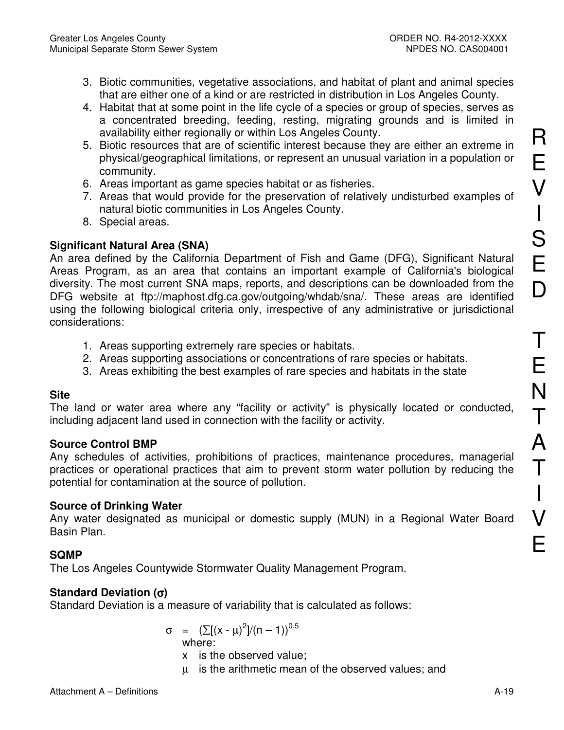- 3. Biotic communities, vegetative associations, and habitat of plant and animal species that are either one of a kind or are restricted in distribution in Los Angeles County.
- 4. Habitat that at some point in the life cycle of a species or group of species, serves as a concentrated breeding, feeding, resting, migrating grounds and is limited in availability either regionally or within Los Angeles County.
- 5. Biotic resources that are of scientific interest because they are either an extreme in physical/geographical limitations, or represent an unusual variation in a population or community.
- 6. Areas important as game species habitat or as fisheries.
- 7. Areas that would provide for the preservation of relatively undisturbed examples of natural biotic communities in Los Angeles County.
- 8. Special areas.

# **Significant Natural Area (SNA)**

An area defined by the California Department of Fish and Game (DFG), Significant Natural Areas Program, as an area that contains an important example of California's biological diversity. The most current SNA maps, reports, and descriptions can be downloaded from the DFG website at ftp://maphost.dfg.ca.gov/outgoing/whdab/sna/. These areas are identified using the following biological criteria only, irrespective of any administrative or jurisdictional considerations:

- 1. Areas supporting extremely rare species or habitats.
- 2. Areas supporting associations or concentrations of rare species or habitats.
- 3. Areas exhibiting the best examples of rare species and habitats in the state

# **Site**

The land or water area where any "facility or activity" is physically located or conducted, including adjacent land used in connection with the facility or activity.

## **Source Control BMP**

Any schedules of activities, prohibitions of practices, maintenance procedures, managerial practices or operational practices that aim to prevent storm water pollution by reducing the potential for contamination at the source of pollution.

# **Source of Drinking Water**

Any water designated as municipal or domestic supply (MUN) in a Regional Water Board Basin Plan.

# **SQMP**

The Los Angeles Countywide Stormwater Quality Management Program.

# Standard Deviation  $(\sigma)$

Standard Deviation is a measure of variability that is calculated as follows:

$$
\sigma = (\sum [(x - \mu)^2]/(n - 1))^{0.5}
$$
  
where:

- x is the observed value:
- $\mu$  is the arithmetic mean of the observed values; and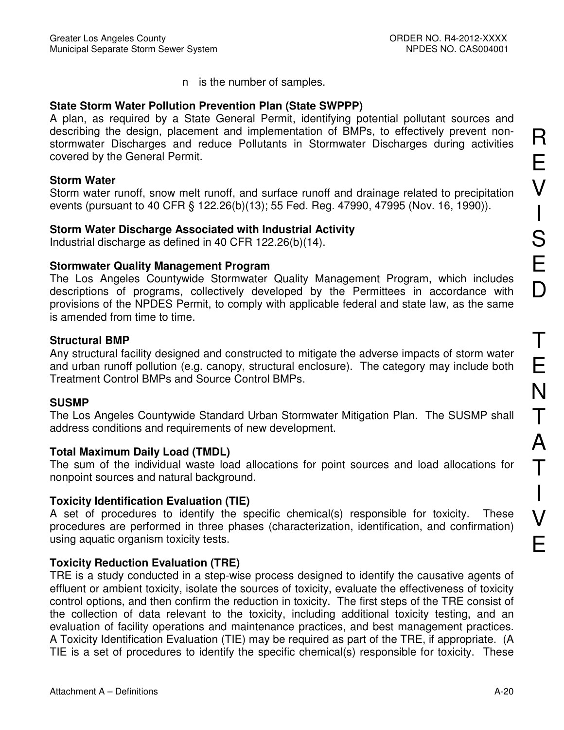n is the number of samples.

## **State Storm Water Pollution Prevention Plan (State SWPPP)**

A plan, as required by a State General Permit, identifying potential pollutant sources and describing the design, placement and implementation of BMPs, to effectively prevent nonstormwater Discharges and reduce Pollutants in Stormwater Discharges during activities covered by the General Permit.

### **Storm Water**

Storm water runoff, snow melt runoff, and surface runoff and drainage related to precipitation events (pursuant to 40 CFR § 122.26(b)(13); 55 Fed. Reg. 47990, 47995 (Nov. 16, 1990)).

## **Storm Water Discharge Associated with Industrial Activity**

Industrial discharge as defined in 40 CFR 122.26(b)(14).

### **Stormwater Quality Management Program**

The Los Angeles Countywide Stormwater Quality Management Program, which includes descriptions of programs, collectively developed by the Permittees in accordance with provisions of the NPDES Permit, to comply with applicable federal and state law, as the same is amended from time to time.

## **Structural BMP**

Any structural facility designed and constructed to mitigate the adverse impacts of storm water and urban runoff pollution (e.g. canopy, structural enclosure). The category may include both **Treatment Control BMPs and Source Control BMPs.** 

## **SUSMP**

The Los Angeles Countywide Standard Urban Stormwater Mitigation Plan. The SUSMP shall address conditions and requirements of new development.

## **Total Maximum Daily Load (TMDL)**

The sum of the individual waste load allocations for point sources and load allocations for nonpoint sources and natural background.

## **Toxicity Identification Evaluation (TIE)**

A set of procedures to identify the specific chemical(s) responsible for toxicity. **These** procedures are performed in three phases (characterization, identification, and confirmation) using aquatic organism toxicity tests.

## **Toxicity Reduction Evaluation (TRE)**

TRE is a study conducted in a step-wise process designed to identify the causative agents of effluent or ambient toxicity, isolate the sources of toxicity, evaluate the effectiveness of toxicity control options, and then confirm the reduction in toxicity. The first steps of the TRE consist of the collection of data relevant to the toxicity, including additional toxicity testing, and an evaluation of facility operations and maintenance practices, and best management practices. A Toxicity Identification Evaluation (TIE) may be required as part of the TRE, if appropriate. (A TIE is a set of procedures to identify the specific chemical(s) responsible for toxicity. These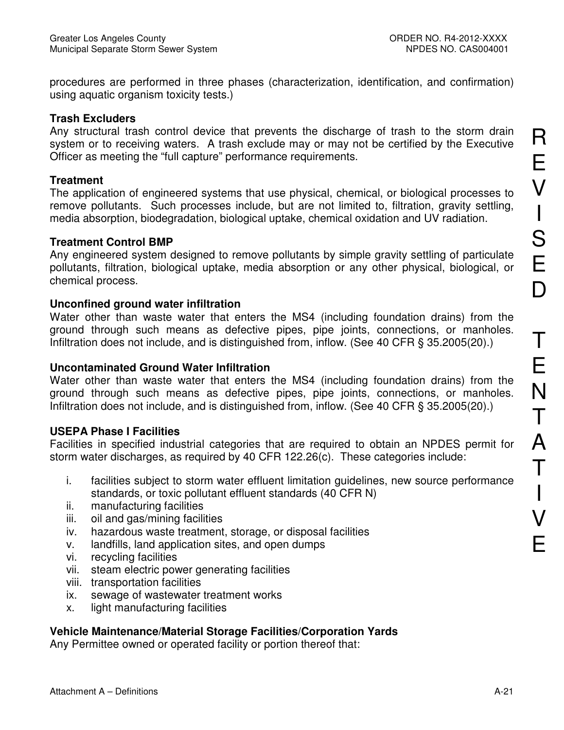procedures are performed in three phases (characterization, identification, and confirmation) using aquatic organism toxicity tests.)

#### **Trash Excluders**

Any structural trash control device that prevents the discharge of trash to the storm drain system or to receiving waters. A trash exclude may or may not be certified by the Executive Officer as meeting the "full capture" performance requirements.

### **Treatment**

The application of engineered systems that use physical, chemical, or biological processes to remove pollutants. Such processes include, but are not limited to, filtration, gravity settling, media absorption, biodegradation, biological uptake, chemical oxidation and UV radiation.

### **Treatment Control BMP**

Any engineered system designed to remove pollutants by simple gravity settling of particulate pollutants, filtration, biological uptake, media absorption or any other physical, biological, or chemical process.

### Unconfined ground water infiltration

Water other than waste water that enters the MS4 (including foundation drains) from the ground through such means as defective pipes, pipe joints, connections, or manholes. Infiltration does not include, and is distinguished from, inflow. (See 40 CFR § 35.2005(20).)

### Uncontaminated Ground Water Infiltration

Water other than waste water that enters the MS4 (including foundation drains) from the ground through such means as defective pipes, pipe joints, connections, or manholes. Infiltration does not include, and is distinguished from, inflow. (See 40 CFR § 35.2005(20).)

## **USEPA Phase I Facilities**

Facilities in specified industrial categories that are required to obtain an NPDES permit for storm water discharges, as required by 40 CFR 122.26(c). These categories include:

- i. facilities subject to storm water effluent limitation quidelines, new source performance standards, or toxic pollutant effluent standards (40 CFR N)
- ii. manufacturing facilities
- oil and gas/mining facilities iii.
- iv. hazardous waste treatment, storage, or disposal facilities
- landfills, land application sites, and open dumps V.
- vi. recycling facilities
- vii. steam electric power generating facilities
- viii. transportation facilities
- sewage of wastewater treatment works ix.
- light manufacturing facilities  $X_{1}$

# Vehicle Maintenance/Material Storage Facilities/Corporation Yards

Any Permittee owned or operated facility or portion thereof that:

R

E

 $\bigvee$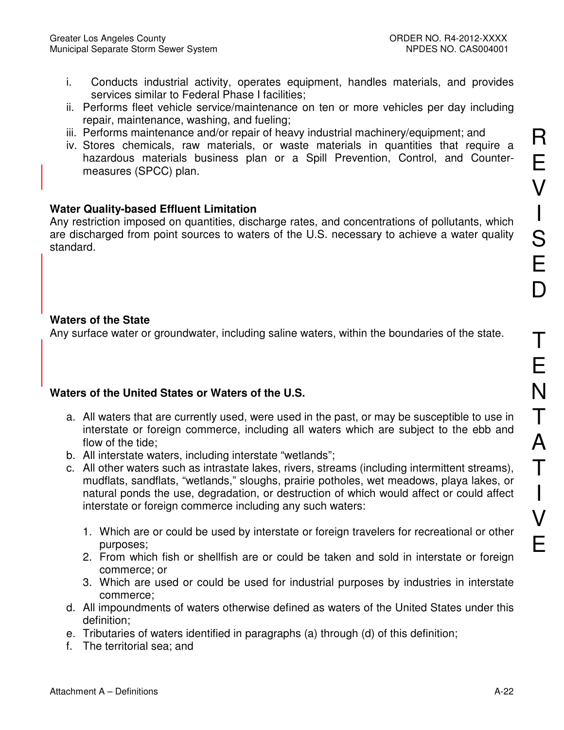- Conducts industrial activity, operates equipment, handles materials, and provides i. services similar to Federal Phase I facilities:
- ii. Performs fleet vehicle service/maintenance on ten or more vehicles per day including repair, maintenance, washing, and fueling;
- iii. Performs maintenance and/or repair of heavy industrial machinery/equipment; and
- iv. Stores chemicals, raw materials, or waste materials in quantities that require a hazardous materials business plan or a Spill Prevention, Control, and Countermeasures (SPCC) plan.

# **Water Quality-based Effluent Limitation**

Any restriction imposed on quantities, discharge rates, and concentrations of pollutants, which are discharged from point sources to waters of the U.S. necessary to achieve a water quality standard.

## **Waters of the State**

Any surface water or groundwater, including saline waters, within the boundaries of the state.

# Waters of the United States or Waters of the U.S.

- a. All waters that are currently used, were used in the past, or may be susceptible to use in interstate or foreign commerce, including all waters which are subject to the ebb and flow of the tide:
- b. All interstate waters, including interstate "wetlands";
- c. All other waters such as intrastate lakes, rivers, streams (including intermittent streams), mudflats, sandflats, "wetlands," sloughs, prairie potholes, wet meadows, playa lakes, or natural ponds the use, degradation, or destruction of which would affect or could affect interstate or foreign commerce including any such waters:
	- 1. Which are or could be used by interstate or foreign travelers for recreational or other purposes:
	- 2. From which fish or shellfish are or could be taken and sold in interstate or foreign commerce; or
	- 3. Which are used or could be used for industrial purposes by industries in interstate commerce:
- d. All impoundments of waters otherwise defined as waters of the United States under this definition:
- e. Tributaries of waters identified in paragraphs (a) through (d) of this definition;
- f. The territorial sea; and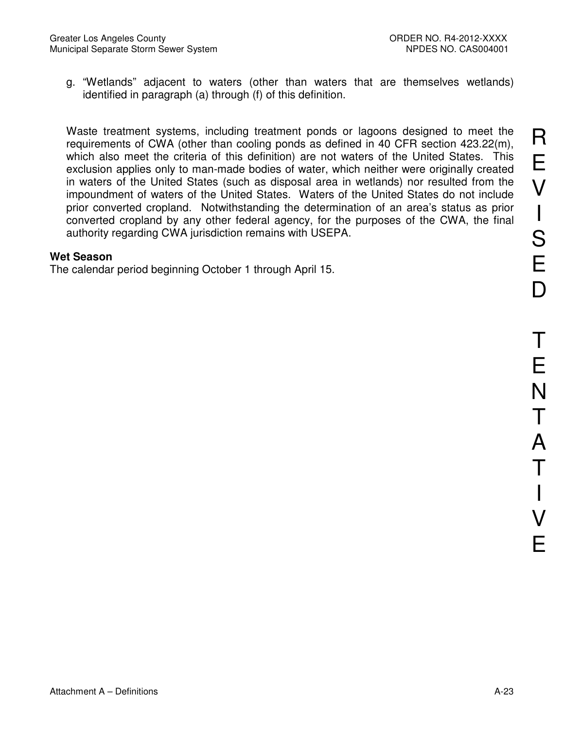g. "Wetlands" adjacent to waters (other than waters that are themselves wetlands) identified in paragraph (a) through (f) of this definition.

Waste treatment systems, including treatment ponds or lagoons designed to meet the requirements of CWA (other than cooling ponds as defined in 40 CFR section 423.22(m), which also meet the criteria of this definition) are not waters of the United States. This exclusion applies only to man-made bodies of water, which neither were originally created in waters of the United States (such as disposal area in wetlands) nor resulted from the impoundment of waters of the United States. Waters of the United States do not include prior converted cropland. Notwithstanding the determination of an area's status as prior converted cropland by any other federal agency, for the purposes of the CWA, the final authority regarding CWA jurisdiction remains with USEPA.

#### **Wet Season**

The calendar period beginning October 1 through April 15.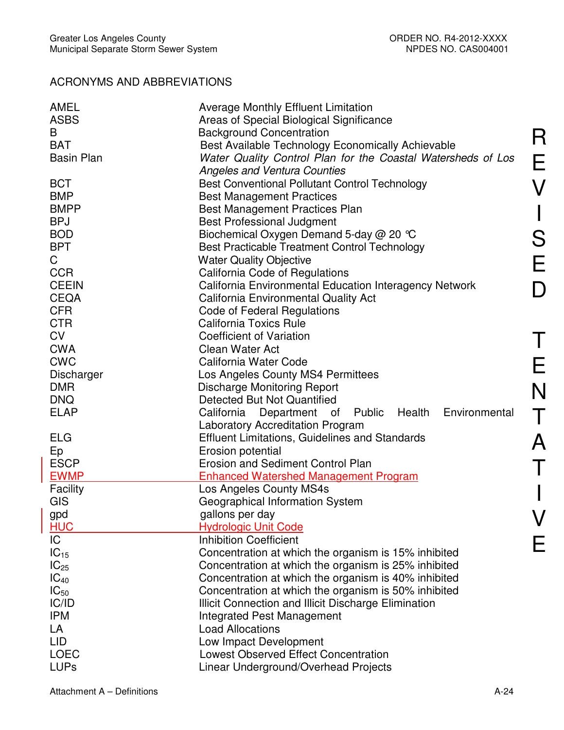# **ACRONYMS AND ABBREVIATIONS**

| AMEL<br><b>ASBS</b> | <b>Average Monthly Effluent Limitation</b><br>Areas of Special Biological Significance |
|---------------------|----------------------------------------------------------------------------------------|
| B                   | <b>Background Concentration</b>                                                        |
| <b>BAT</b>          | Best Available Technology Economically Achievable                                      |
| <b>Basin Plan</b>   | Water Quality Control Plan for the Coastal Watersheds of Los                           |
|                     | <b>Angeles and Ventura Counties</b>                                                    |
| <b>BCT</b>          | <b>Best Conventional Pollutant Control Technology</b>                                  |
| <b>BMP</b>          | <b>Best Management Practices</b>                                                       |
| <b>BMPP</b>         | Best Management Practices Plan                                                         |
| <b>BPJ</b>          | <b>Best Professional Judgment</b>                                                      |
| <b>BOD</b>          |                                                                                        |
|                     | Biochemical Oxygen Demand 5-day @ 20 °C                                                |
| <b>BPT</b>          | Best Practicable Treatment Control Technology                                          |
| C                   | <b>Water Quality Objective</b>                                                         |
| <b>CCR</b>          | California Code of Regulations                                                         |
| <b>CEEIN</b>        | California Environmental Education Interagency Network                                 |
| <b>CEQA</b>         | <b>California Environmental Quality Act</b>                                            |
| <b>CFR</b>          | Code of Federal Regulations                                                            |
| <b>CTR</b>          | <b>California Toxics Rule</b>                                                          |
| <b>CV</b>           | <b>Coefficient of Variation</b>                                                        |
| <b>CWA</b>          | <b>Clean Water Act</b>                                                                 |
| <b>CWC</b>          | California Water Code                                                                  |
| <b>Discharger</b>   | Los Angeles County MS4 Permittees                                                      |
| <b>DMR</b>          | <b>Discharge Monitoring Report</b>                                                     |
| <b>DNQ</b>          | Detected But Not Quantified                                                            |
| <b>ELAP</b>         | Public<br>Health<br>Environmental<br>California<br>Department of                       |
|                     | <b>Laboratory Accreditation Program</b>                                                |
| <b>ELG</b>          | <b>Effluent Limitations, Guidelines and Standards</b>                                  |
| Ep                  | Erosion potential                                                                      |
| <b>ESCP</b>         | Erosion and Sediment Control Plan                                                      |
| <b>EWMP</b>         | <b>Enhanced Watershed Management Program</b>                                           |
| Facility            | Los Angeles County MS4s                                                                |
| <b>GIS</b>          | Geographical Information System                                                        |
| gpd                 | gallons per day                                                                        |
| <b>HUC</b>          | <b>Hydrologic Unit Code</b>                                                            |
| $\overline{IC}$     | <b>Inhibition Coefficient</b>                                                          |
| $IC_{15}$           | Concentration at which the organism is 15% inhibited                                   |
| $IC_{25}$           | Concentration at which the organism is 25% inhibited                                   |
| $IC_{40}$           | Concentration at which the organism is 40% inhibited                                   |
| $IC_{50}$           | Concentration at which the organism is 50% inhibited                                   |
| IC/ID               | Illicit Connection and Illicit Discharge Elimination                                   |
| <b>IPM</b>          | <b>Integrated Pest Management</b>                                                      |
| LA                  | <b>Load Allocations</b>                                                                |
| <b>LID</b>          | Low Impact Development                                                                 |
| <b>LOEC</b>         | <b>Lowest Observed Effect Concentration</b>                                            |
| <b>LUPs</b>         | Linear Underground/Overhead Projects                                                   |
|                     |                                                                                        |

 $\mathsf R$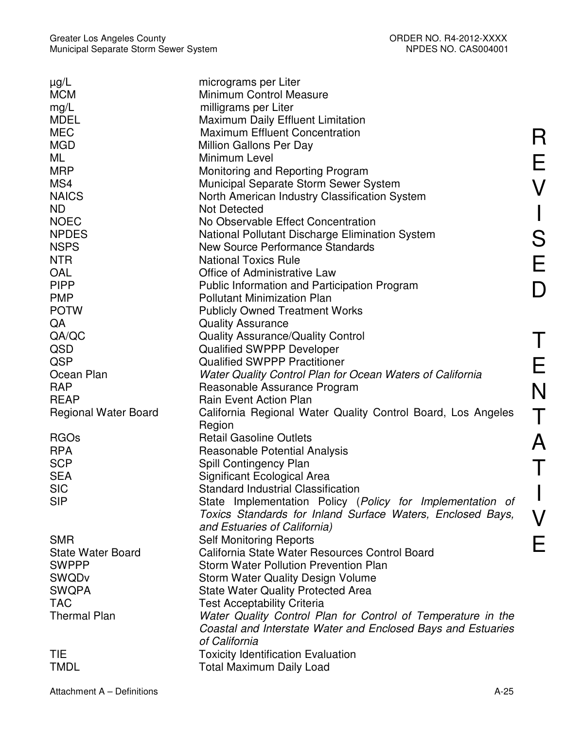| $\mu$ g/L                   | micrograms per Liter                                         |
|-----------------------------|--------------------------------------------------------------|
| <b>MCM</b>                  | <b>Minimum Control Measure</b>                               |
| mg/L                        | milligrams per Liter                                         |
| <b>MDEL</b>                 | <b>Maximum Daily Effluent Limitation</b>                     |
| <b>MEC</b>                  | <b>Maximum Effluent Concentration</b>                        |
| <b>MGD</b>                  | Million Gallons Per Day                                      |
| ML                          | Minimum Level                                                |
| <b>MRP</b>                  | Monitoring and Reporting Program                             |
| MS4                         | Municipal Separate Storm Sewer System                        |
| <b>NAICS</b>                | North American Industry Classification System                |
| <b>ND</b>                   | <b>Not Detected</b>                                          |
| <b>NOEC</b>                 | No Observable Effect Concentration                           |
|                             |                                                              |
| <b>NPDES</b>                | National Pollutant Discharge Elimination System              |
| <b>NSPS</b>                 | New Source Performance Standards                             |
| <b>NTR</b>                  | <b>National Toxics Rule</b>                                  |
| OAL                         | <b>Office of Administrative Law</b>                          |
| <b>PIPP</b>                 | Public Information and Participation Program                 |
| <b>PMP</b>                  | <b>Pollutant Minimization Plan</b>                           |
| <b>POTW</b>                 | <b>Publicly Owned Treatment Works</b>                        |
| QA                          | <b>Quality Assurance</b>                                     |
| QA/QC                       | <b>Quality Assurance/Quality Control</b>                     |
| QSD                         | <b>Qualified SWPPP Developer</b>                             |
| QSP                         | <b>Qualified SWPPP Practitioner</b>                          |
|                             |                                                              |
| Ocean Plan                  | Water Quality Control Plan for Ocean Waters of California    |
| <b>RAP</b>                  | Reasonable Assurance Program                                 |
| <b>REAP</b>                 | <b>Rain Event Action Plan</b>                                |
| <b>Regional Water Board</b> | California Regional Water Quality Control Board, Los Angeles |
|                             | Region                                                       |
| <b>RGOs</b>                 | <b>Retail Gasoline Outlets</b>                               |
| <b>RPA</b>                  | <b>Reasonable Potential Analysis</b>                         |
| <b>SCP</b>                  | Spill Contingency Plan                                       |
| <b>SEA</b>                  | Significant Ecological Area                                  |
| <b>SIC</b>                  | <b>Standard Industrial Classification</b>                    |
| <b>SIP</b>                  | State Implementation Policy (Policy for Implementation of    |
|                             | Toxics Standards for Inland Surface Waters, Enclosed Bays,   |
|                             |                                                              |
|                             | and Estuaries of California)                                 |
| <b>SMR</b>                  | <b>Self Monitoring Reports</b>                               |
| <b>State Water Board</b>    | California State Water Resources Control Board               |
| <b>SWPPP</b>                | <b>Storm Water Pollution Prevention Plan</b>                 |
| <b>SWQDv</b>                | <b>Storm Water Quality Design Volume</b>                     |
| <b>SWQPA</b>                | <b>State Water Quality Protected Area</b>                    |
| <b>TAC</b>                  | <b>Test Acceptability Criteria</b>                           |
| <b>Thermal Plan</b>         | Water Quality Control Plan for Control of Temperature in the |
|                             | Coastal and Interstate Water and Enclosed Bays and Estuaries |
|                             | of California                                                |
| <b>TIE</b>                  | <b>Toxicity Identification Evaluation</b>                    |
| <b>TMDL</b>                 |                                                              |
|                             | <b>Total Maximum Daily Load</b>                              |